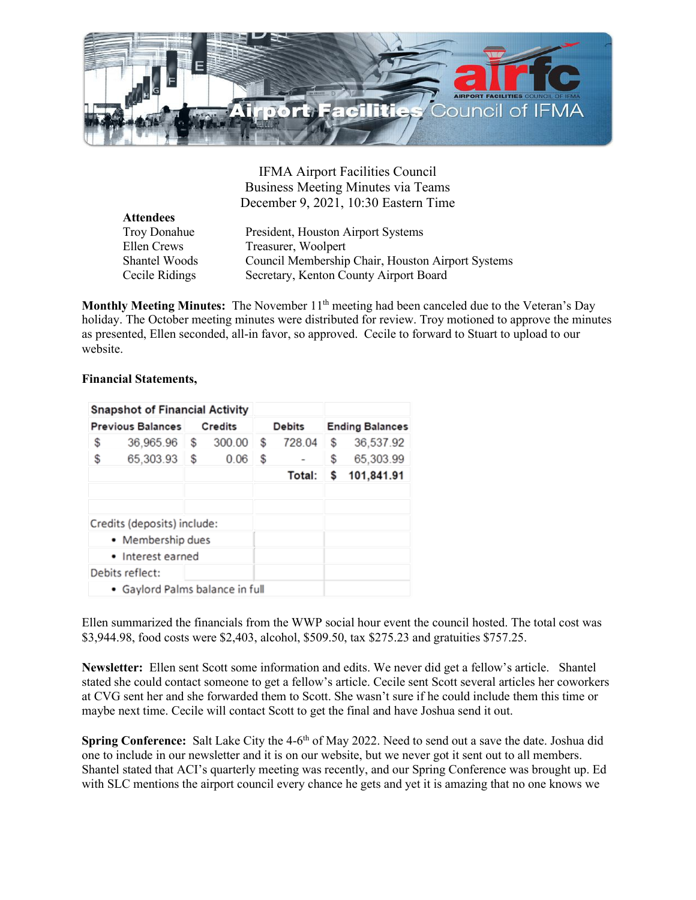

IFMA Airport Facilities Council Business Meeting Minutes via Teams December 9, 2021, 10:30 Eastern Time

| <b>Attendees</b> |                                                   |
|------------------|---------------------------------------------------|
| Troy Donahue     | President, Houston Airport Systems                |
| Ellen Crews      | Treasurer, Woolpert                               |
| Shantel Woods    | Council Membership Chair, Houston Airport Systems |
| Cecile Ridings   | Secretary, Kenton County Airport Board            |
|                  |                                                   |

**Monthly Meeting Minutes:** The November 11<sup>th</sup> meeting had been canceled due to the Veteran's Day holiday. The October meeting minutes were distributed for review. Troy motioned to approve the minutes as presented, Ellen seconded, all-in favor, so approved. Cecile to forward to Stuart to upload to our website.

## **Financial Statements,**

|                          | <b>Snapshot of Financial Activity</b>   |                |        |               |        |                        |            |
|--------------------------|-----------------------------------------|----------------|--------|---------------|--------|------------------------|------------|
| <b>Previous Balances</b> |                                         | <b>Credits</b> |        | <b>Debits</b> |        | <b>Ending Balances</b> |            |
| \$                       | 36,965.96                               | S              | 300.00 | s             | 728.04 | S                      | 36,537.92  |
| \$                       | 65,303.93                               | \$             | 0.06   | \$            |        | \$                     | 65,303.99  |
|                          |                                         |                |        |               | Total: | S                      | 101,841.91 |
|                          |                                         |                |        |               |        |                        |            |
|                          |                                         |                |        |               |        |                        |            |
|                          | Credits (deposits) include:             |                |        |               |        |                        |            |
| • Membership dues        |                                         |                |        |               |        |                        |            |
| • Interest earned        |                                         |                |        |               |        |                        |            |
|                          | Debits reflect:                         |                |        |               |        |                        |            |
|                          | $\bullet$ Gavlord Palms balance in full |                |        |               |        |                        |            |

Ellen summarized the financials from the WWP social hour event the council hosted. The total cost was \$3,944.98, food costs were \$2,403, alcohol, \$509.50, tax \$275.23 and gratuities \$757.25.

**Newsletter:** Ellen sent Scott some information and edits. We never did get a fellow's article. Shantel stated she could contact someone to get a fellow's article. Cecile sent Scott several articles her coworkers at CVG sent her and she forwarded them to Scott. She wasn't sure if he could include them this time or maybe next time. Cecile will contact Scott to get the final and have Joshua send it out.

**Spring Conference:** Salt Lake City the 4-6<sup>th</sup> of May 2022. Need to send out a save the date. Joshua did one to include in our newsletter and it is on our website, but we never got it sent out to all members. Shantel stated that ACI's quarterly meeting was recently, and our Spring Conference was brought up. Ed with SLC mentions the airport council every chance he gets and yet it is amazing that no one knows we